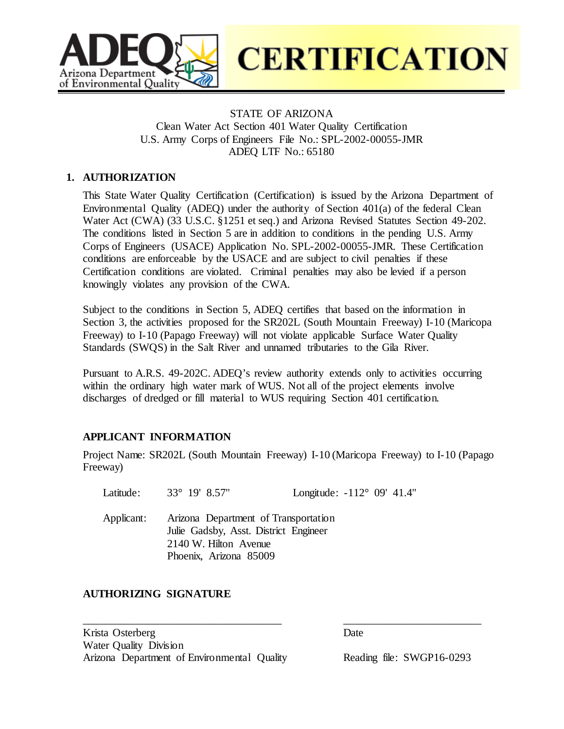

**CERTIFICATION** 

# STATE OF ARIZONA Clean Water Act Section 401 Water Quality Certification U.S. Army Corps of Engineers File No.: SPL-2002-00055-JMR ADEQ LTF No.: 65180

## **1. AUTHORIZATION**

This State Water Quality Certification (Certification) is issued by the Arizona Department of Environmental Quality (ADEQ) under the authority of Section 401(a) of the federal Clean Water Act (CWA) (33 U.S.C. §1251 et seq.) and Arizona Revised Statutes Section 49-202. The conditions listed in Section 5 are in addition to conditions in the pending U.S. Army Corps of Engineers (USACE) Application No. SPL-2002-00055-JMR. These Certification conditions are enforceable by the USACE and are subject to civil penalties if these Certification conditions are violated. Criminal penalties may also be levied if a person knowingly violates any provision of the CWA.

Subject to the conditions in Section 5, ADEQ certifies that based on the information in Section 3, the activities proposed for the SR202L (South Mountain Freeway) I-10 (Maricopa Freeway) to I-10 (Papago Freeway) will not violate applicable Surface Water Quality Standards (SWQS) in the Salt River and unnamed tributaries to the Gila River.

Pursuant to A.R.S. 49-202C. ADEQ's review authority extends only to activities occurring within the ordinary high water mark of WUS. Not all of the project elements involve discharges of dredged or fill material to WUS requiring Section 401 certification.

#### **APPLICANT INFORMATION**

Project Name: SR202L (South Mountain Freeway) I-10 (Maricopa Freeway) to I-10 (Papago Freeway)

\_\_\_\_\_\_\_\_\_\_\_\_\_\_\_\_\_\_\_\_\_\_\_\_\_\_\_\_\_\_\_\_\_\_\_\_ \_\_\_\_\_\_\_\_\_\_\_\_\_\_\_\_\_\_\_\_\_\_\_\_\_

Latitude: 33° 19′ 8.57″ Longitude: -112° 09′ 41.4″

Applicant: Arizona Department of Transportation Julie Gadsby, Asst. District Engineer 2140 W. Hilton Avenue Phoenix, Arizona 85009

#### **AUTHORIZING SIGNATURE**

Krista Osterberg Date Water Quality Division Arizona Department of Environmental Quality Reading file: SWGP16-0293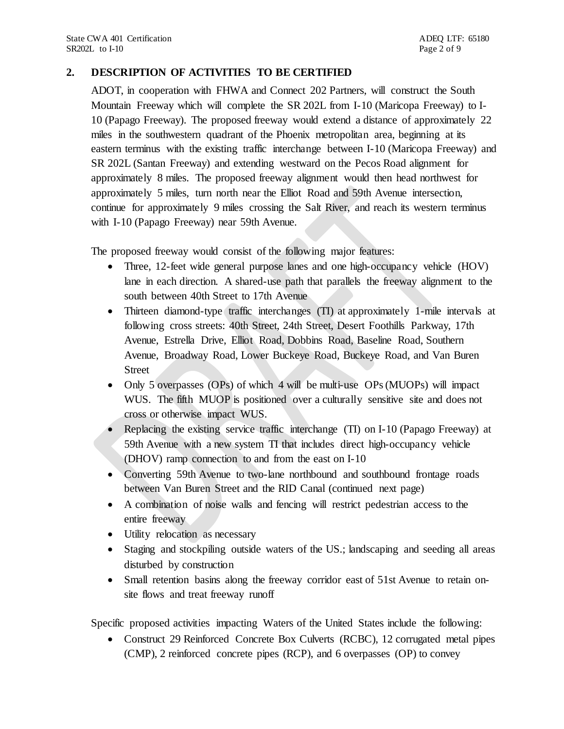## **2. DESCRIPTION OF ACTIVITIES TO BE CERTIFIED**

ADOT, in cooperation with FHWA and Connect 202 Partners, will construct the South Mountain Freeway which will complete the SR 202L from I-10 (Maricopa Freeway) to I-10 (Papago Freeway). The proposed freeway would extend a distance of approximately 22 miles in the southwestern quadrant of the Phoenix metropolitan area, beginning at its eastern terminus with the existing traffic interchange between I-10 (Maricopa Freeway) and SR 202L (Santan Freeway) and extending westward on the Pecos Road alignment for approximately 8 miles. The proposed freeway alignment would then head northwest for approximately 5 miles, turn north near the Elliot Road and 59th Avenue intersection, continue for approximately 9 miles crossing the Salt River, and reach its western terminus with I-10 (Papago Freeway) near 59th Avenue.

The proposed freeway would consist of the following major features:

- Three, 12-feet wide general purpose lanes and one high-occupancy vehicle (HOV) lane in each direction. A shared-use path that parallels the freeway alignment to the south between 40th Street to 17th Avenue
- Thirteen diamond-type traffic interchanges (TI) at approximately 1-mile intervals at following cross streets: 40th Street, 24th Street, Desert Foothills Parkway, 17th Avenue, Estrella Drive, Elliot Road, Dobbins Road, Baseline Road, Southern Avenue, Broadway Road, Lower Buckeye Road, Buckeye Road, and Van Buren Street
- Only 5 overpasses (OPs) of which  $\overline{4}$  will be multi-use OPs (MUOPs) will impact WUS. The fifth MUOP is positioned over a culturally sensitive site and does not cross or otherwise impact WUS.
- Replacing the existing service traffic interchange (TI) on I-10 (Papago Freeway) at 59th Avenue with a new system TI that includes direct high-occupancy vehicle (DHOV) ramp connection to and from the east on I-10
- Converting 59th Avenue to two-lane northbound and southbound frontage roads between Van Buren Street and the RID Canal (continued next page)
- A combination of noise walls and fencing will restrict pedestrian access to the entire freeway
- Utility relocation as necessary
- Staging and stockpiling outside waters of the US<sub>ri</sub> landscaping and seeding all areas disturbed by construction
- Small retention basins along the freeway corridor east of 51st Avenue to retain onsite flows and treat freeway runoff

Specific proposed activities impacting Waters of the United States include the following:

• Construct 29 Reinforced Concrete Box Culverts (RCBC), 12 corrugated metal pipes (CMP), 2 reinforced concrete pipes (RCP), and 6 overpasses (OP) to convey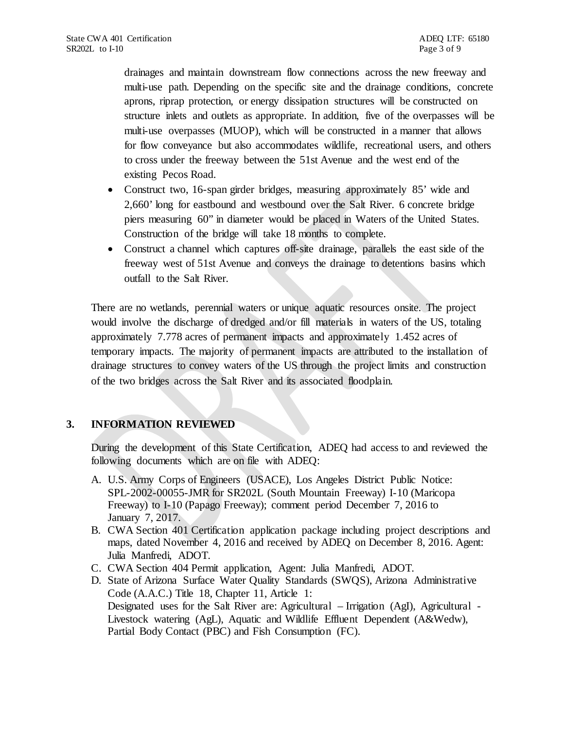drainages and maintain downstream flow connections across the new freeway and multi-use path. Depending on the specific site and the drainage conditions, concrete aprons, riprap protection, or energy dissipation structures will be constructed on structure inlets and outlets as appropriate. In addition, five of the overpasses will be multi-use overpasses (MUOP), which will be constructed in a manner that allows for flow conveyance but also accommodates wildlife, recreational users, and others to cross under the freeway between the 51st Avenue and the west end of the existing Pecos Road.

- Construct two, 16-span girder bridges, measuring approximately 85' wide and 2,660' long for eastbound and westbound over the Salt River. 6 concrete bridge piers measuring 60" in diameter would be placed in Waters of the United States. Construction of the bridge will take 18 months to complete.
- Construct a channel which captures off-site drainage, parallels the east side of the freeway west of 51st Avenue and conveys the drainage to detentions basins which outfall to the Salt River.

There are no wetlands, perennial waters or unique aquatic resources onsite. The project would involve the discharge of dredged and/or fill materials in waters of the US, totaling approximately 7.778 acres of permanent impacts and approximately 1.452 acres of temporary impacts. The majority of permanent impacts are attributed to the installation of drainage structures to convey waters of the US through the project limits and construction of the two bridges across the Salt River and its associated floodplain.

#### **3. INFORMATION REVIEWED**

During the development of this State Certification, ADEQ had access to and reviewed the following documents which are on file with ADEQ:

- A. U.S. Army Corps of Engineers (USACE), Los Angeles District Public Notice: SPL-2002-00055-JMR for SR202L (South Mountain Freeway) I-10 (Maricopa Freeway) to I-10 (Papago Freeway); comment period December 7, 2016 to January 7, 2017.
- B. CWA Section 401 Certification application package including project descriptions and maps, dated November 4, 2016 and received by ADEQ on December 8, 2016. Agent: Julia Manfredi, ADOT.
- C. CWA Section 404 Permit application, Agent: Julia Manfredi, ADOT.
- D. State of Arizona Surface Water Quality Standards (SWQS), Arizona Administrative Code (A.A.C.) Title 18, Chapter 11, Article 1: Designated uses for the Salt River are: Agricultural – Irrigation (AgI), Agricultural - Livestock watering (AgL), Aquatic and Wildlife Effluent Dependent (A&Wedw), Partial Body Contact (PBC) and Fish Consumption (FC).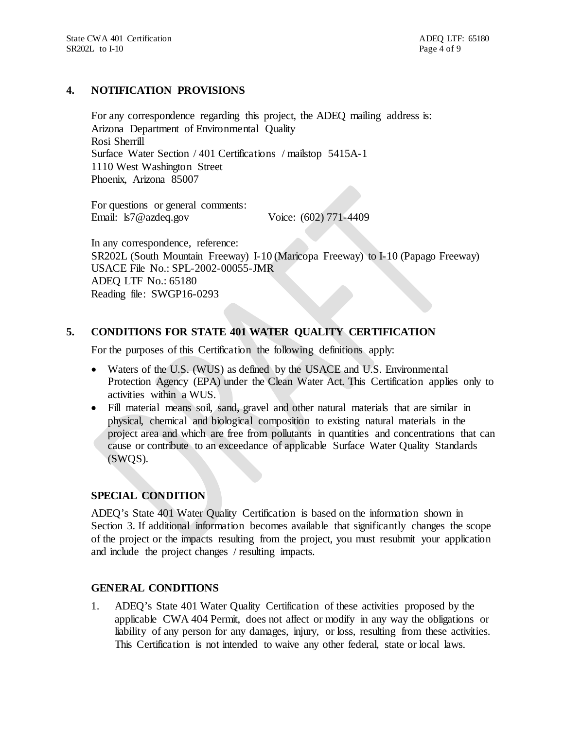### **4. NOTIFICATION PROVISIONS**

For any correspondence regarding this project, the ADEQ mailing address is: Arizona Department of Environmental Quality Rosi Sherrill Surface Water Section / 401 Certifications / mailstop 5415A-1 1110 West Washington Street Phoenix, Arizona 85007

For questions or general comments: Email: ls7@azdeq.gov Voice: (602) 771-4409

In any correspondence, reference: SR202L (South Mountain Freeway) I-10 (Maricopa Freeway) to I-10 (Papago Freeway) USACE File No.: SPL-2002-00055-JMR ADEQ LTF No.: 65180 Reading file: SWGP16-0293

# **5. CONDITIONS FOR STATE 401 WATER QUALITY CERTIFICATION**

For the purposes of this Certification the following definitions apply:

- Waters of the U.S. (WUS) as defined by the USACE and U.S. Environmental Protection Agency (EPA) under the Clean Water Act. This Certification applies only to activities within a WUS.
- Fill material means soil, sand, gravel and other natural materials that are similar in physical, chemical and biological composition to existing natural materials in the project area and which are free from pollutants in quantities and concentrations that can cause or contribute to an exceedance of applicable Surface Water Quality Standards (SWQS).

#### **SPECIAL CONDITION**

ADEQ's State 401 Water Quality Certification is based on the information shown in Section 3. If additional information becomes available that significantly changes the scope of the project or the impacts resulting from the project, you must resubmit your application and include the project changes / resulting impacts.

## **GENERAL CONDITIONS**

1. ADEQ's State 401 Water Quality Certification of these activities proposed by the applicable CWA 404 Permit, does not affect or modify in any way the obligations or liability of any person for any damages, injury, or loss, resulting from these activities. This Certification is not intended to waive any other federal, state or local laws.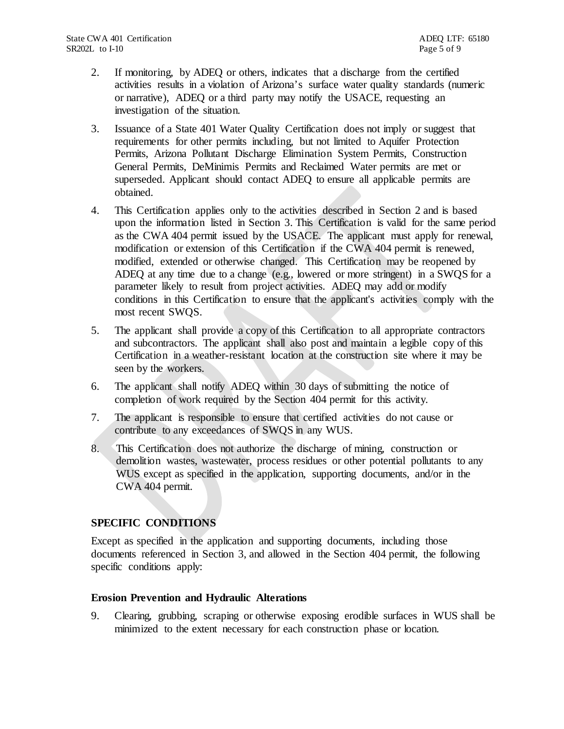- 2. If monitoring, by ADEQ or others, indicates that a discharge from the certified activities results in a violation of Arizona's surface water quality standards (numeric or narrative), ADEQ or a third party may notify the USACE, requesting an investigation of the situation.
- 3. Issuance of a State 401 Water Quality Certification does not imply or suggest that requirements for other permits including, but not limited to Aquifer Protection Permits, Arizona Pollutant Discharge Elimination System Permits, Construction General Permits, DeMinimis Permits and Reclaimed Water permits are met or superseded. Applicant should contact ADEQ to ensure all applicable permits are obtained.
- 4. This Certification applies only to the activities described in Section 2 and is based upon the information listed in Section 3. This Certification is valid for the same period as the CWA 404 permit issued by the USACE. The applicant must apply for renewal, modification or extension of this Certification if the CWA 404 permit is renewed, modified, extended or otherwise changed. This Certification may be reopened by ADEQ at any time due to a change (e.g., lowered or more stringent) in a SWQS for a parameter likely to result from project activities. ADEQ may add or modify conditions in this Certification to ensure that the applicant's activities comply with the most recent SWQS.
- 5. The applicant shall provide a copy of this Certification to all appropriate contractors and subcontractors. The applicant shall also post and maintain a legible copy of this Certification in a weather-resistant location at the construction site where it may be seen by the workers.
- 6. The applicant shall notify ADEQ within 30 days of submitting the notice of completion of work required by the Section 404 permit for this activity.
- 7. The applicant is responsible to ensure that certified activities do not cause or contribute to any exceedances of SWQS in any WUS.
- 8. This Certification does not authorize the discharge of mining, construction or demolition wastes, wastewater, process residues or other potential pollutants to any WUS except as specified in the application, supporting documents, and/or in the CWA 404 permit.

#### **SPECIFIC CONDITIONS**

Except as specified in the application and supporting documents, including those documents referenced in Section 3, and allowed in the Section 404 permit, the following specific conditions apply:

#### **Erosion Prevention and Hydraulic Alterations**

9. Clearing, grubbing, scraping or otherwise exposing erodible surfaces in WUS shall be minimized to the extent necessary for each construction phase or location.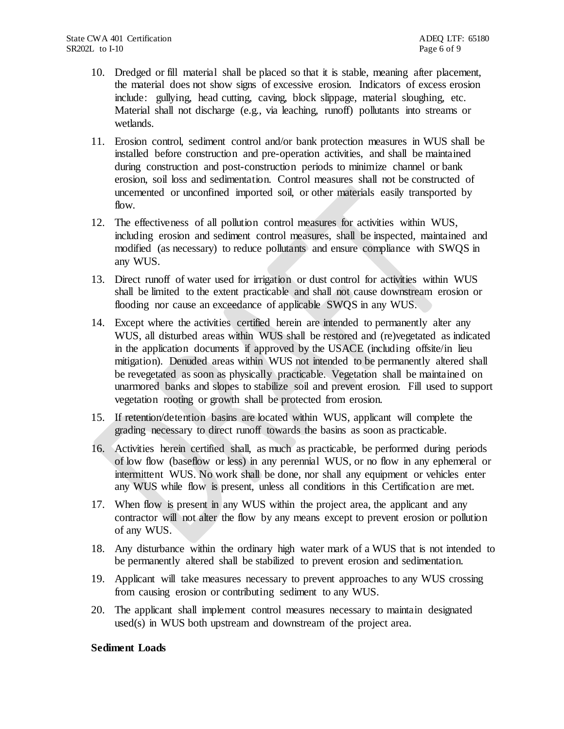- 10. Dredged or fill material shall be placed so that it is stable, meaning after placement, the material does not show signs of excessive erosion. Indicators of excess erosion include: gullying, head cutting, caving, block slippage, material sloughing, etc. Material shall not discharge (e.g., via leaching, runoff) pollutants into streams or wetlands.
- 11. Erosion control, sediment control and/or bank protection measures in WUS shall be installed before construction and pre-operation activities, and shall be maintained during construction and post-construction periods to minimize channel or bank erosion, soil loss and sedimentation. Control measures shall not be constructed of uncemented or unconfined imported soil, or other materials easily transported by flow.
- 12. The effectiveness of all pollution control measures for activities within WUS, including erosion and sediment control measures, shall be inspected, maintained and modified (as necessary) to reduce pollutants and ensure compliance with SWQS in any WUS.
- 13. Direct runoff of water used for irrigation or dust control for activities within WUS shall be limited to the extent practicable and shall not cause downstream erosion or flooding nor cause an exceedance of applicable SWQS in any WUS.
- 14. Except where the activities certified herein are intended to permanently alter any WUS, all disturbed areas within WUS shall be restored and (re)vegetated as indicated in the application documents if approved by the USACE (including offsite/in lieu mitigation). Denuded areas within WUS not intended to be permanently altered shall be revegetated as soon as physically practicable. Vegetation shall be maintained on unarmored banks and slopes to stabilize soil and prevent erosion. Fill used to support vegetation rooting or growth shall be protected from erosion.
- 15. If retention/detention basins are located within WUS, applicant will complete the grading necessary to direct runoff towards the basins as soon as practicable.
- 16. Activities herein certified shall, as much as practicable, be performed during periods of low flow (baseflow or less) in any perennial WUS, or no flow in any ephemeral or intermittent WUS. No work shall be done, nor shall any equipment or vehicles enter any WUS while flow is present, unless all conditions in this Certification are met.
- 17. When flow is present in any WUS within the project area, the applicant and any contractor will not alter the flow by any means except to prevent erosion or pollution of any WUS.
- 18. Any disturbance within the ordinary high water mark of a WUS that is not intended to be permanently altered shall be stabilized to prevent erosion and sedimentation.
- 19. Applicant will take measures necessary to prevent approaches to any WUS crossing from causing erosion or contributing sediment to any WUS.
- 20. The applicant shall implement control measures necessary to maintain designated used(s) in WUS both upstream and downstream of the project area.

#### **Sediment Loads**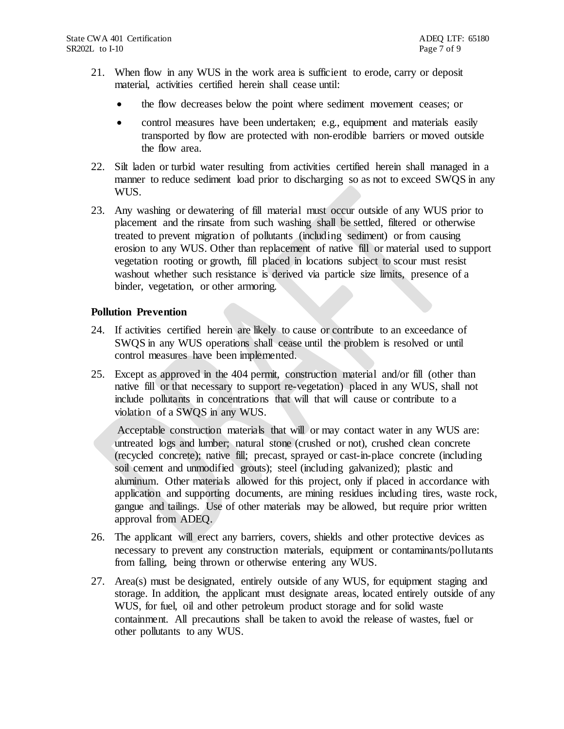- 21. When flow in any WUS in the work area is sufficient to erode, carry or deposit material, activities certified herein shall cease until:
	- the flow decreases below the point where sediment movement ceases; or
	- control measures have been undertaken; e.g., equipment and materials easily transported by flow are protected with non-erodible barriers or moved outside the flow area.
- 22. Silt laden or turbid water resulting from activities certified herein shall managed in a manner to reduce sediment load prior to discharging so as not to exceed SWQS in any WUS.
- 23. Any washing or dewatering of fill material must occur outside of any WUS prior to placement and the rinsate from such washing shall be settled, filtered or otherwise treated to prevent migration of pollutants (including sediment) or from causing erosion to any WUS. Other than replacement of native fill or material used to support vegetation rooting or growth, fill placed in locations subject to scour must resist washout whether such resistance is derived via particle size limits, presence of a binder, vegetation, or other armoring.

#### **Pollution Prevention**

- 24. If activities certified herein are likely to cause or contribute to an exceedance of SWQS in any WUS operations shall cease until the problem is resolved or until control measures have been implemented.
- 25. Except as approved in the 404 permit, construction material and/or fill (other than native fill or that necessary to support re-vegetation) placed in any WUS, shall not include pollutants in concentrations that will that will cause or contribute to a violation of a SWQS in any WUS.

Acceptable construction materials that will or may contact water in any WUS are: untreated logs and lumber; natural stone (crushed or not), crushed clean concrete (recycled concrete); native fill; precast, sprayed or cast-in-place concrete (including soil cement and unmodified grouts); steel (including galvanized); plastic and aluminum. Other materials allowed for this project, only if placed in accordance with application and supporting documents, are mining residues including tires, waste rock, gangue and tailings. Use of other materials may be allowed, but require prior written approval from ADEQ.

- 26. The applicant will erect any barriers, covers, shields and other protective devices as necessary to prevent any construction materials, equipment or contaminants/pollutants from falling, being thrown or otherwise entering any WUS.
- 27. Area(s) must be designated, entirely outside of any WUS, for equipment staging and storage. In addition, the applicant must designate areas, located entirely outside of any WUS, for fuel, oil and other petroleum product storage and for solid waste containment. All precautions shall be taken to avoid the release of wastes, fuel or other pollutants to any WUS.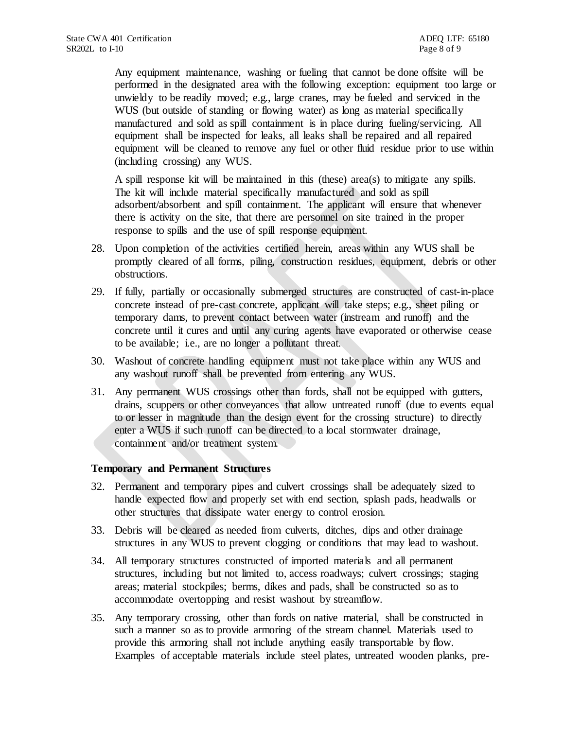Any equipment maintenance, washing or fueling that cannot be done offsite will be performed in the designated area with the following exception: equipment too large or unwieldy to be readily moved; e.g., large cranes, may be fueled and serviced in the WUS (but outside of standing or flowing water) as long as material specifically manufactured and sold as spill containment is in place during fueling/servicing. All equipment shall be inspected for leaks, all leaks shall be repaired and all repaired equipment will be cleaned to remove any fuel or other fluid residue prior to use within (including crossing) any WUS.

A spill response kit will be maintained in this (these) area(s) to mitigate any spills. The kit will include material specifically manufactured and sold as spill adsorbent/absorbent and spill containment. The applicant will ensure that whenever there is activity on the site, that there are personnel on site trained in the proper response to spills and the use of spill response equipment.

- 28. Upon completion of the activities certified herein, areas within any WUS shall be promptly cleared of all forms, piling, construction residues, equipment, debris or other obstructions.
- 29. If fully, partially or occasionally submerged structures are constructed of cast-in-place concrete instead of pre-cast concrete, applicant will take steps; e.g., sheet piling or temporary dams, to prevent contact between water (instream and runoff) and the concrete until it cures and until any curing agents have evaporated or otherwise cease to be available; i.e., are no longer a pollutant threat.
- 30. Washout of concrete handling equipment must not take place within any WUS and any washout runoff shall be prevented from entering any WUS.
- 31. Any permanent WUS crossings other than fords, shall not be equipped with gutters, drains, scuppers or other conveyances that allow untreated runoff (due to events equal to or lesser in magnitude than the design event for the crossing structure) to directly enter a WUS if such runoff can be directed to a local stormwater drainage, containment and/or treatment system.

#### **Temporary and Permanent Structures**

- 32. Permanent and temporary pipes and culvert crossings shall be adequately sized to handle expected flow and properly set with end section, splash pads, headwalls or other structures that dissipate water energy to control erosion.
- 33. Debris will be cleared as needed from culverts, ditches, dips and other drainage structures in any WUS to prevent clogging or conditions that may lead to washout.
- 34. All temporary structures constructed of imported materials and all permanent structures, including but not limited to, access roadways; culvert crossings; staging areas; material stockpiles; berms, dikes and pads, shall be constructed so as to accommodate overtopping and resist washout by streamflow.
- 35. Any temporary crossing, other than fords on native material, shall be constructed in such a manner so as to provide armoring of the stream channel. Materials used to provide this armoring shall not include anything easily transportable by flow. Examples of acceptable materials include steel plates, untreated wooden planks, pre-